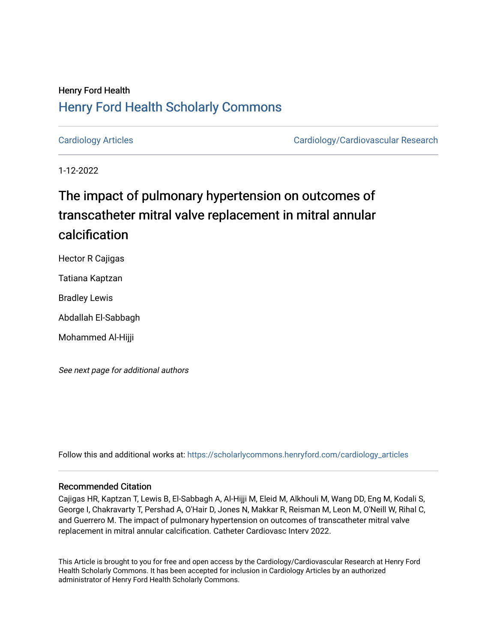# Henry Ford Health [Henry Ford Health Scholarly Commons](https://scholarlycommons.henryford.com/)

[Cardiology Articles](https://scholarlycommons.henryford.com/cardiology_articles) [Cardiology/Cardiovascular Research](https://scholarlycommons.henryford.com/cardiology) 

1-12-2022

# The impact of pulmonary hypertension on outcomes of transcatheter mitral valve replacement in mitral annular calcification

Hector R Cajigas

Tatiana Kaptzan

Bradley Lewis

Abdallah El-Sabbagh

Mohammed Al-Hijji

See next page for additional authors

Follow this and additional works at: [https://scholarlycommons.henryford.com/cardiology\\_articles](https://scholarlycommons.henryford.com/cardiology_articles?utm_source=scholarlycommons.henryford.com%2Fcardiology_articles%2F876&utm_medium=PDF&utm_campaign=PDFCoverPages)

#### Recommended Citation

Cajigas HR, Kaptzan T, Lewis B, El-Sabbagh A, Al-Hijji M, Eleid M, Alkhouli M, Wang DD, Eng M, Kodali S, George I, Chakravarty T, Pershad A, O'Hair D, Jones N, Makkar R, Reisman M, Leon M, O'Neill W, Rihal C, and Guerrero M. The impact of pulmonary hypertension on outcomes of transcatheter mitral valve replacement in mitral annular calcification. Catheter Cardiovasc Interv 2022.

This Article is brought to you for free and open access by the Cardiology/Cardiovascular Research at Henry Ford Health Scholarly Commons. It has been accepted for inclusion in Cardiology Articles by an authorized administrator of Henry Ford Health Scholarly Commons.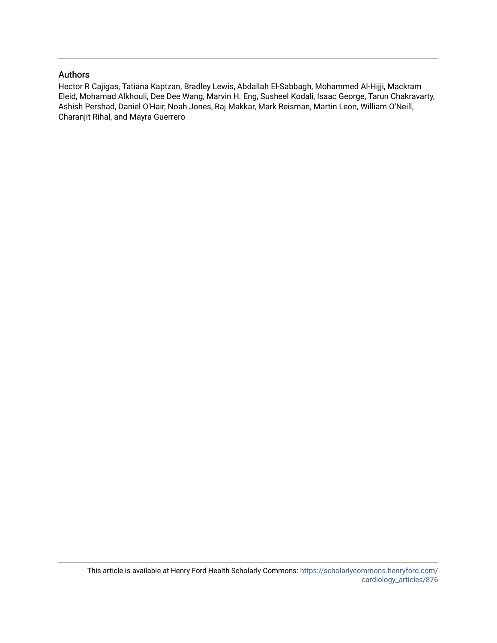### Authors

Hector R Cajigas, Tatiana Kaptzan, Bradley Lewis, Abdallah El-Sabbagh, Mohammed Al-Hijji, Mackram Eleid, Mohamad Alkhouli, Dee Dee Wang, Marvin H. Eng, Susheel Kodali, Isaac George, Tarun Chakravarty, Ashish Pershad, Daniel O'Hair, Noah Jones, Raj Makkar, Mark Reisman, Martin Leon, William O'Neill, Charanjit Rihal, and Mayra Guerrero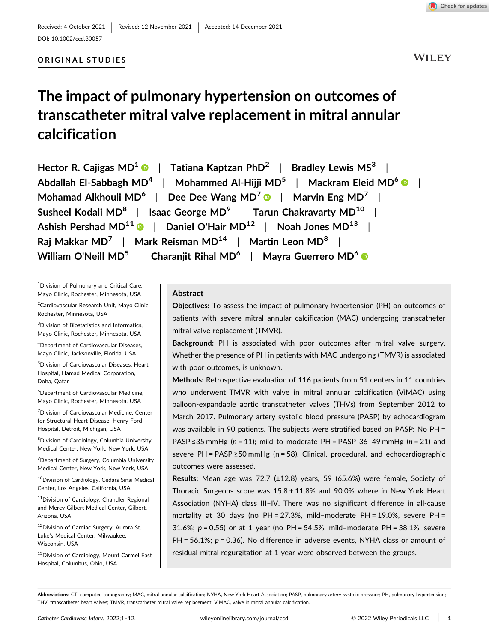#### ORIGINAL STUDIES

### **WILEY**

# The impact of pulmonary hypertension on outcomes of transcatheter mitral valve replacement in mitral annular calcification

| Hector R. Cajigas MD $^1$ $\bullet$ $\parallel$ Tatiana Kaptzan PhD <sup>2</sup> $\parallel$ Bradley Lewis MS <sup>3</sup> $\parallel$     |  |
|--------------------------------------------------------------------------------------------------------------------------------------------|--|
| Abdallah El-Sabbagh MD <sup>4</sup>   Mohammed Al-Hijji MD <sup>5</sup>   Mackram Eleid MD <sup>6</sup> ©                                  |  |
| Mohamad Alkhouli MD <sup>6</sup>   Dee Dee Wang MD <sup>7</sup> $\bullet$   Marvin Eng MD <sup>7</sup>                                     |  |
| Susheel Kodali MD $^8$   Isaac George MD $^9$   Tarun Chakravarty MD $^{10}$                                                               |  |
| Ashish Pershad MD $^{11}$ $\textcolor{blue}{\bullet}\,$ $\parallel$ Daniel O'Hair MD $^{12}$ $\parallel$ Noah Jones MD $^{13}$ $\parallel$ |  |
| Raj Makkar MD <sup>7</sup>   Mark Reisman MD <sup>14</sup>   Martin Leon MD <sup>8</sup>                                                   |  |
| William O'Neill MD $^5$   Charanjit Rihal MD $^6$   Mayra Guerrero MD $^6$ $\textcolor{red}{\bullet}$                                      |  |

<sup>1</sup> Division of Pulmonary and Critical Care, Mayo Clinic, Rochester, Minnesota, USA

<sup>2</sup> Cardiovascular Research Unit, Mayo Clinic, Rochester, Minnesota, USA

<sup>3</sup>Division of Biostatistics and Informatics, Mayo Clinic, Rochester, Minnesota, USA

4 Department of Cardiovascular Diseases, Mayo Clinic, Jacksonville, Florida, USA

5 Division of Cardiovascular Diseases, Heart Hospital, Hamad Medical Corporation, Doha, Qatar

6 Department of Cardiovascular Medicine, Mayo Clinic, Rochester, Minnesota, USA

<sup>7</sup> Division of Cardiovascular Medicine, Center for Structural Heart Disease, Henry Ford Hospital, Detroit, Michigan, USA

8 Division of Cardiology, Columbia University Medical Center, New York, New York, USA

9 Department of Surgery, Columbia University Medical Center, New York, New York, USA

 $^{10}$ Division of Cardiology, Cedars Sinai Medical Center, Los Angeles, California, USA

11 Division of Cardiology, Chandler Regional and Mercy Gilbert Medical Center, Gilbert, Arizona, USA

12Division of Cardiac Surgery, Aurora St. Luke's Medical Center, Milwaukee, Wisconsin, USA

<sup>13</sup>Division of Cardiology, Mount Carmel East Hospital, Columbus, Ohio, USA

#### Abstract

Objectives: To assess the impact of pulmonary hypertension (PH) on outcomes of patients with severe mitral annular calcification (MAC) undergoing transcatheter mitral valve replacement (TMVR).

Background: PH is associated with poor outcomes after mitral valve surgery. Whether the presence of PH in patients with MAC undergoing (TMVR) is associated with poor outcomes, is unknown.

Methods: Retrospective evaluation of 116 patients from 51 centers in 11 countries who underwent TMVR with valve in mitral annular calcification (ViMAC) using balloon‐expandable aortic transcatheter valves (THVs) from September 2012 to March 2017. Pulmonary artery systolic blood pressure (PASP) by echocardiogram was available in 90 patients. The subjects were stratified based on PASP: No PH = PASP ≤35 mmHg ( $n = 11$ ); mild to moderate PH = PASP 36-49 mmHg ( $n = 21$ ) and severe PH = PASP ≥50 mmHg (n = 58). Clinical, procedural, and echocardiographic outcomes were assessed.

Results: Mean age was 72.7 (±12.8) years, 59 (65.6%) were female, Society of Thoracic Surgeons score was 15.8 + 11.8% and 90.0% where in New York Heart Association (NYHA) class III-IV. There was no significant difference in all-cause mortality at 30 days (no PH = 27.3%, mild–moderate PH = 19.0%, severe PH = 31.6%;  $p = 0.55$ ) or at 1 year (no PH = 54.5%, mild-moderate PH = 38.1%, severe PH =  $56.1\%$ ;  $p = 0.36$ ). No difference in adverse events, NYHA class or amount of residual mitral regurgitation at 1 year were observed between the groups.

Abbreviations: CT, computed tomography; MAC, mitral annular calcification; NYHA, New York Heart Association; PASP, pulmonary artery systolic pressure; PH, pulmonary hypertension; THV, transcatheter heart valves; TMVR, transcatheter mitral valve replacement; ViMAC, valve in mitral annular calcification.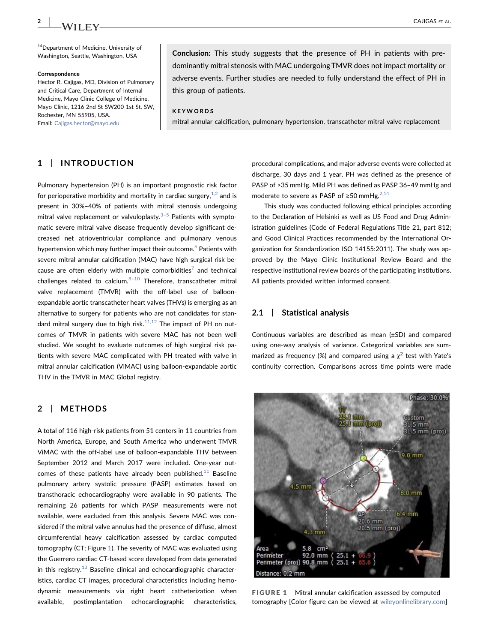<sup>14</sup>Department of Medicine, University of Washington, Seattle, Washington, USA

#### Correspondence

Hector R. Cajigas, MD, Division of Pulmonary and Critical Care, Department of Internal Medicine, Mayo Clinic College of Medicine, Mayo Clinic, 1216 2nd St SW200 1st St, SW, Rochester, MN 55905, USA. Email: [Cajigas.hector@mayo.edu](mailto:Cajigas.hector@mayo.edu)

Conclusion: This study suggests that the presence of PH in patients with predominantly mitral stenosis with MAC undergoing TMVR does not impact mortality or adverse events. Further studies are needed to fully understand the effect of PH in this group of patients.

#### **KEYWORDS**

mitral annular calcification, pulmonary hypertension, transcatheter mitral valve replacement

#### 1 | INTRODUCTION

Pulmonary hypertension (PH) is an important prognostic risk factor for perioperative morbidity and mortality in cardiac surgery,  $1,2$  and is present in 30%–40% of patients with mitral stenosis undergoing mitral valve replacement or valvuloplasty. $3-5$  Patients with symptomatic severe mitral valve disease frequently develop significant decreased net atrioventricular compliance and pulmonary venous hypertension which may further impact their outcome.<sup>[6](#page-12-2)</sup> Patients with severe mitral annular calcification (MAC) have high surgical risk because are often elderly with multiple comorbidities<sup>7</sup> and technical challenges related to calcium. $8-10$  $8-10$  Therefore, transcatheter mitral valve replacement (TMVR) with the off-label use of balloonexpandable aortic transcatheter heart valves (THVs) is emerging as an alternative to surgery for patients who are not candidates for standard mitral surgery due to high risk. $11,12$  The impact of PH on outcomes of TMVR in patients with severe MAC has not been well studied. We sought to evaluate outcomes of high surgical risk patients with severe MAC complicated with PH treated with valve in mitral annular calcification (ViMAC) using balloon‐expandable aortic THV in the TMVR in MAC Global registry.

#### 2 | METHODS

A total of 116 high‐risk patients from 51 centers in 11 countries from North America, Europe, and South America who underwent TMVR ViMAC with the off‐label use of balloon‐expandable THV between September 2012 and March 2017 were included. One‐year outcomes of these patients have already been published. $11$  Baseline pulmonary artery systolic pressure (PASP) estimates based on transthoracic echocardiography were available in 90 patients. The remaining 26 patients for which PASP measurements were not available, were excluded from this analysis. Severe MAC was considered if the mitral valve annulus had the presence of diffuse, almost circumferential heavy calcification assessed by cardiac computed tomography (CT; Figure [1\)](#page-3-0). The severity of MAC was evaluated using the Guerrero cardiac CT‐based score developed from data generated in this registry. $13$  Baseline clinical and echocardiographic characteristics, cardiac CT images, procedural characteristics including hemodynamic measurements via right heart catheterization when available, postimplantation echocardiographic characteristics,

procedural complications, and major adverse events were collected at discharge, 30 days and 1 year. PH was defined as the presence of PASP of >35 mmHg. Mild PH was defined as PASP 36–49 mmHg and moderate to severe as PASP of ≥50 mmHg.<sup>[2,14](#page-12-6)</sup>

This study was conducted following ethical principles according to the Declaration of Helsinki as well as US Food and Drug Administration guidelines (Code of Federal Regulations Title 21, part 812; and Good Clinical Practices recommended by the International Organization for Standardization ISO 14155:2011). The study was approved by the Mayo Clinic Institutional Review Board and the respective institutional review boards of the participating institutions. All patients provided written informed consent.

#### 2.1 | Statistical analysis

Continuous variables are described as mean (±SD) and compared using one‐way analysis of variance. Categorical variables are summarized as frequency (%) and compared using a  $\chi^2$  test with Yate's continuity correction. Comparisons across time points were made

<span id="page-3-0"></span>

FIGURE 1 Mitral annular calcification assessed by computed tomography [Color figure can be viewed at [wileyonlinelibrary.com](http://wileyonlinelibrary.com)]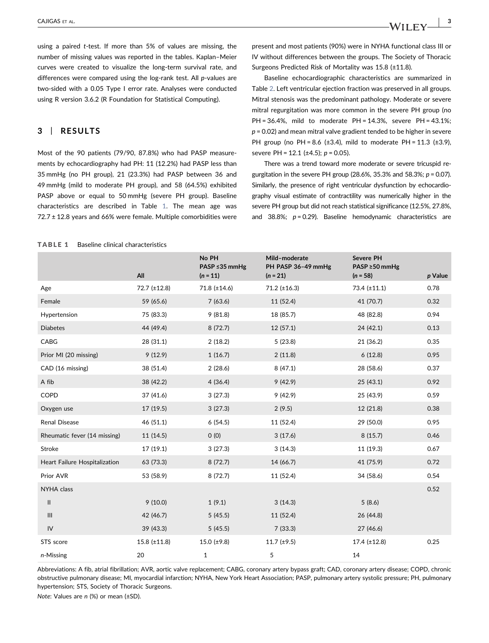using a paired t‐test. If more than 5% of values are missing, the number of missing values was reported in the tables. Kaplan–Meier curves were created to visualize the long‐term survival rate, and differences were compared using the log-rank test. All p-values are two‐sided with a 0.05 Type I error rate. Analyses were conducted using R version 3.6.2 (R Foundation for Statistical Computing).

#### 3 | RESULTS

Most of the 90 patients (79/90, 87.8%) who had PASP measurements by echocardiography had PH: 11 (12.2%) had PASP less than 35 mmHg (no PH group), 21 (23.3%) had PASP between 36 and 49 mmHg (mild to moderate PH group), and 58 (64.5%) exhibited PASP above or equal to 50 mmHg (severe PH group). Baseline characteristics are described in Table [1](#page-4-0). The mean age was  $72.7 \pm 12.8$  years and 66% were female. Multiple comorbidities were

present and most patients (90%) were in NYHA functional class III or IV without differences between the groups. The Society of Thoracic Surgeons Predicted Risk of Mortality was 15.8 (±11.8).

Baseline echocardiographic characteristics are summarized in Table [2.](#page-5-0) Left ventricular ejection fraction was preserved in all groups. Mitral stenosis was the predominant pathology. Moderate or severe mitral regurgitation was more common in the severe PH group (no PH = 36.4%, mild to moderate PH = 14.3%, severe PH = 43.1%;  $p = 0.02$ ) and mean mitral valve gradient tended to be higher in severe PH group (no PH = 8.6 (±3.4), mild to moderate PH =  $11.3$  (±3.9), severe PH = 12.1 ( $\pm$ 4.5); p = 0.05).

There was a trend toward more moderate or severe tricuspid regurgitation in the severe PH group (28.6%, 35.3% and 58.3%;  $p = 0.07$ ). Similarly, the presence of right ventricular dysfunction by echocardiography visual estimate of contractility was numerically higher in the severe PH group but did not reach statistical significance (12.5%, 27.8%, and 38.8%;  $p = 0.29$ ). Baseline hemodynamic characteristics are

#### <span id="page-4-0"></span>TABLE 1 Baseline clinical characteristics

|                               | All                 | No PH<br>PASP ≤35 mmHg<br>$(n = 11)$ | Mild-moderate<br>PH PASP 36-49 mmHg<br>$(n = 21)$ | <b>Severe PH</b><br>PASP $\geq$ 50 mmHg<br>$(n = 58)$ | p Value |
|-------------------------------|---------------------|--------------------------------------|---------------------------------------------------|-------------------------------------------------------|---------|
| Age                           | 72.7 (±12.8)        | $71.8 (\pm 14.6)$                    | $71.2 (\pm 16.3)$                                 | 73.4 (±11.1)                                          | 0.78    |
| Female                        | 59 (65.6)           | 7(63.6)                              | 11 (52.4)                                         | 41 (70.7)                                             | 0.32    |
| Hypertension                  | 75 (83.3)           | 9(81.8)                              | 18 (85.7)                                         | 48 (82.8)                                             | 0.94    |
| <b>Diabetes</b>               | 44 (49.4)           | 8(72.7)                              | 12(57.1)                                          | 24 (42.1)                                             | 0.13    |
| CABG                          | 28 (31.1)           | 2(18.2)                              | 5(23.8)                                           | 21 (36.2)                                             | 0.35    |
| Prior MI (20 missing)         | 9(12.9)             | 1(16.7)                              | 2(11.8)                                           | 6(12.8)                                               | 0.95    |
| CAD (16 missing)              | 38 (51.4)           | 2(28.6)                              | 8(47.1)                                           | 28 (58.6)                                             | 0.37    |
| A fib                         | 38 (42.2)           | 4(36.4)                              | 9(42.9)                                           | 25 (43.1)                                             | 0.92    |
| COPD                          | 37 (41.6)           | 3(27.3)                              | 9(42.9)                                           | 25 (43.9)                                             | 0.59    |
| Oxygen use                    | 17 (19.5)           | 3(27.3)                              | 2(9.5)                                            | 12 (21.8)                                             | 0.38    |
| Renal Disease                 | 46 (51.1)           | 6(54.5)                              | 11 (52.4)                                         | 29 (50.0)                                             | 0.95    |
| Rheumatic fever (14 missing)  | 11 (14.5)           | 0(0)                                 | 3(17.6)                                           | 8(15.7)                                               | 0.46    |
| Stroke                        | 17(19.1)            | 3(27.3)                              | 3(14.3)                                           | 11 (19.3)                                             | 0.67    |
| Heart Failure Hospitalization | 63 (73.3)           | 8(72.7)                              | 14 (66.7)                                         | 41 (75.9)                                             | 0.72    |
| Prior AVR                     | 53 (58.9)           | 8(72.7)                              | 11 (52.4)                                         | 34 (58.6)                                             | 0.54    |
| NYHA class                    |                     |                                      |                                                   |                                                       | 0.52    |
| $\mathsf{II}$                 | 9(10.0)             | 1(9.1)                               | 3(14.3)                                           | 5(8.6)                                                |         |
| Ш                             | 42 (46.7)           | 5(45.5)                              | 11 (52.4)                                         | 26 (44.8)                                             |         |
| IV                            | 39 (43.3)           | 5(45.5)                              | 7(33.3)                                           | 27 (46.6)                                             |         |
| STS score                     | $15.8 \ (\pm 11.8)$ | 15.0 $(\pm 9.8)$                     | $11.7 \ (\pm 9.5)$                                | $17.4$ ( $\pm$ 12.8)                                  | 0.25    |
| n-Missing                     | 20                  | 1                                    | 5                                                 | 14                                                    |         |

Abbreviations: A fib, atrial fibrillation; AVR, aortic valve replacement; CABG, coronary artery bypass graft; CAD, coronary artery disease; COPD, chronic obstructive pulmonary disease; MI, myocardial infarction; NYHA, New York Heart Association; PASP, pulmonary artery systolic pressure; PH, pulmonary hypertension; STS, Society of Thoracic Surgeons.

Note: Values are n (%) or mean (±SD).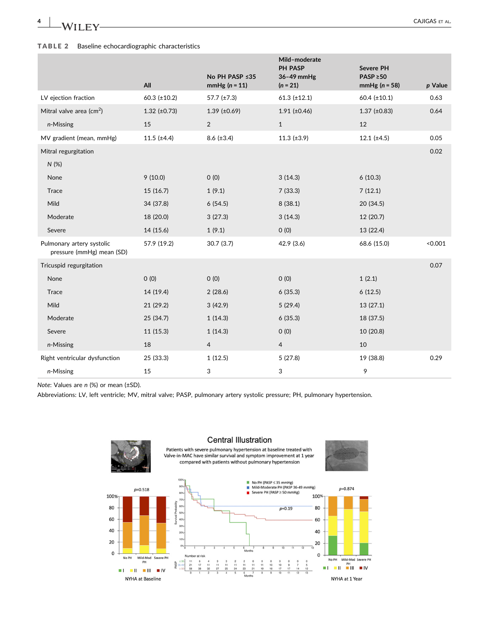$\frac{4}{1000}$   $\frac{1}{2000}$  CAJIGAS ET AL.

#### <span id="page-5-0"></span>TABLE 2 Baseline echocardiographic characteristics

|                                                        |                      |                                  | Mild-moderate<br>PH PASP | <b>Severe PH</b>                |         |
|--------------------------------------------------------|----------------------|----------------------------------|--------------------------|---------------------------------|---------|
|                                                        | All                  | No PH PASP ≤35<br>$mmHg(n = 11)$ | 36-49 mmHg<br>$(n = 21)$ | $PASP \ge 50$<br>$mmHg(n = 58)$ | p Value |
| LV ejection fraction                                   | $60.3$ (±10.2)       | 57.7 $(\pm 7.3)$                 | $61.3$ (±12.1)           | $60.4$ (±10.1)                  | 0.63    |
| Mitral valve area ( $cm2$ )                            | $1.32$ ( $\pm$ 0.73) | $1.39$ (±0.69)                   | $1.91$ (±0.46)           | $1.37 \ (\pm 0.83)$             | 0.64    |
| n-Missing                                              | 15                   | 2                                | $\mathbf{1}$             | 12                              |         |
| MV gradient (mean, mmHg)                               | $11.5$ ( $\pm 4.4$ ) | $8.6$ (±3.4)                     | $11.3 \ (\pm 3.9)$       | $12.1 (\pm 4.5)$                | 0.05    |
| Mitral regurgitation                                   |                      |                                  |                          |                                 | 0.02    |
| N (%)                                                  |                      |                                  |                          |                                 |         |
| None                                                   | 9(10.0)              | O(0)                             | 3(14.3)                  | 6(10.3)                         |         |
| <b>Trace</b>                                           | 15 (16.7)            | 1(9.1)                           | 7(33.3)                  | 7(12.1)                         |         |
| Mild                                                   | 34 (37.8)            | 6(54.5)                          | 8(38.1)                  | 20 (34.5)                       |         |
| Moderate                                               | 18 (20.0)            | 3(27.3)                          | 3(14.3)                  | 12 (20.7)                       |         |
| Severe                                                 | 14 (15.6)            | 1(9.1)                           | O(0)                     | 13 (22.4)                       |         |
| Pulmonary artery systolic<br>pressure (mmHg) mean (SD) | 57.9 (19.2)          | 30.7(3.7)                        | 42.9(3.6)                | 68.6 (15.0)                     | < 0.001 |
| Tricuspid regurgitation                                |                      |                                  |                          |                                 | 0.07    |
| None                                                   | 0(0)                 | O(0)                             | O(0)                     | 1(2.1)                          |         |
| <b>Trace</b>                                           | 14 (19.4)            | 2(28.6)                          | 6(35.3)                  | 6(12.5)                         |         |
| Mild                                                   | 21(29.2)             | 3(42.9)                          | 5(29.4)                  | 13(27.1)                        |         |
| Moderate                                               | 25 (34.7)            | 1(14.3)                          | 6(35.3)                  | 18 (37.5)                       |         |
| Severe                                                 | 11 (15.3)            | 1(14.3)                          | 0(0)                     | 10 (20.8)                       |         |
| n-Missing                                              | 18                   | $\overline{4}$                   | $\overline{4}$           | 10                              |         |
| Right ventricular dysfunction                          | 25 (33.3)            | 1(12.5)                          | 5(27.8)                  | 19 (38.8)                       | 0.29    |
| n-Missing                                              | 15                   | 3                                | 3                        | 9                               |         |

Note: Values are n (%) or mean (±SD).

Abbreviations: LV, left ventricle; MV, mitral valve; PASP, pulmonary artery systolic pressure; PH, pulmonary hypertension.



#### **Central Illustration**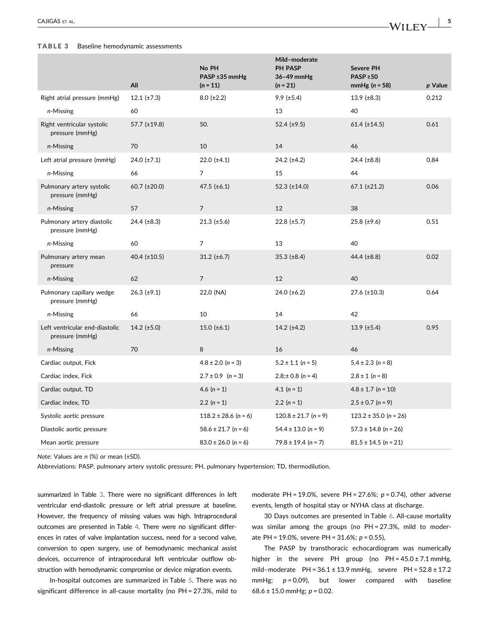#### <span id="page-6-0"></span>TABLE 3 Baseline hemodynamic assessments

|                                                   | All                   | No PH<br>PASP ≤35 mmHg<br>$(n = 11)$ | Mild-moderate<br><b>PH PASP</b><br>$36-49$ mmHg<br>$(n = 21)$ | <b>Severe PH</b><br>$PASP \ge 50$<br>mmHg $(n = 58)$ | p Value |
|---------------------------------------------------|-----------------------|--------------------------------------|---------------------------------------------------------------|------------------------------------------------------|---------|
| Right atrial pressure (mmHg)                      | 12.1 $(\pm 7.3)$      | $8.0 (\pm 2.2)$                      | $9.9$ ( $\pm 5.4$ )                                           | 13.9 $(\pm 8.3)$                                     | 0.212   |
| n-Missing                                         | 60                    |                                      | 13                                                            | 40                                                   |         |
| Right ventricular systolic<br>pressure (mmHg)     | 57.7 (±19.8)          | 50.                                  | 52.4 $(\pm 9.5)$                                              | $61.4$ (±14.5)                                       | 0.61    |
| n-Missing                                         | 70                    | 10                                   | 14                                                            | 46                                                   |         |
| Left atrial pressure (mmHg)                       | $24.0 \ (\pm 7.1)$    | $22.0$ ( $\pm 4.1$ )                 | $24.2$ ( $\pm 4.2$ )                                          | 24.4 $(\pm 8.8)$                                     | 0.84    |
| n-Missing                                         | 66                    | 7                                    | 15                                                            | 44                                                   |         |
| Pulmonary artery systolic<br>pressure (mmHg)      | $60.7$ ( $\pm 20.0$ ) | 47.5 $(\pm 6.1)$                     | 52.3 $(\pm 14.0)$                                             | $67.1$ ( $\pm 21.2$ )                                | 0.06    |
| n-Missing                                         | 57                    | $\overline{7}$                       | 12                                                            | 38                                                   |         |
| Pulmonary artery diastolic<br>pressure (mmHg)     | 24.4 $(\pm 8.3)$      | $21.3 \ (\pm 5.6)$                   | $22.8 (\pm 5.7)$                                              | $25.8 \ (\pm 9.6)$                                   | 0.51    |
| n-Missing                                         | 60                    | $\overline{7}$                       | 13                                                            | 40                                                   |         |
| Pulmonary artery mean<br>pressure                 | 40.4 $(\pm 10.5)$     | $31.2 \ (\pm 6.7)$                   | 35.3 $(\pm 8.4)$                                              | 44.4 $(\pm 8.8)$                                     | 0.02    |
| n-Missing                                         | 62                    | $\overline{7}$                       | 12                                                            | 40                                                   |         |
| Pulmonary capillary wedge<br>pressure (mmHg)      | $26.3$ ( $\pm$ 9.1)   | 22.0 (NA)                            | 24.0 $(\pm 6.2)$                                              | 27.6 (±10.3)                                         | 0.64    |
| n-Missing                                         | 66                    | 10                                   | 14                                                            | 42                                                   |         |
| Left ventricular end-diastolic<br>pressure (mmHg) | 14.2 $(\pm 5.0)$      | 15.0 $(\pm 6.1)$                     | 14.2 $(\pm 4.2)$                                              | $13.9$ (±5.4)                                        | 0.95    |
| n-Missing                                         | 70                    | 8                                    | 16                                                            | 46                                                   |         |
| Cardiac output, Fick                              |                       | $4.8 \pm 2.0$ (n = 3)                | $5.2 \pm 1.1$ (n = 5)                                         | $5.4 \pm 2.3$ (n = 8)                                |         |
| Cardiac index, Fick                               |                       | $2.7 \pm 0.9$ (n = 3)                | $2.8:±0.8 (n = 4)$                                            | $2.8 \pm 1$ (n = 8)                                  |         |
| Cardiac output, TD                                |                       | 4.6 $(n = 1)$                        | 4.1 $(n = 1)$                                                 | $4.8 \pm 1.7$ (n = 10)                               |         |
| Cardiac index, TD                                 |                       | 2.2 $(n = 1)$                        | 2.2 $(n = 1)$                                                 | $2.5 \pm 0.7$ (n = 9)                                |         |
| Systolic aortic pressure                          |                       | $118.2 \pm 28.6$ (n = 6)             | $120.8 \pm 21.7$ (n = 9)                                      | $123.2 \pm 35.0$ (n = 26)                            |         |
| Diastolic aortic pressure                         |                       | $58.6 \pm 21.7$ (n = 6)              | $54.4 \pm 13.0$ (n = 9)                                       | $57.3 \pm 14.8$ (n = 26)                             |         |
| Mean aortic pressure                              |                       | $83.0 \pm 26.0$ (n = 6)              | $79.8 \pm 19.4$ (n = 7)                                       | $81.5 \pm 14.5$ (n = 21)                             |         |

Note: Values are n (%) or mean (±SD).

Abbreviations: PASP, pulmonary artery systolic pressure; PH, pulmonary hypertension; TD, thermodilution.

summarized in Table [3.](#page-6-0) There were no significant differences in left ventricular end‐diastolic pressure or left atrial pressure at baseline. However, the frequency of missing values was high. Intraprocedural outcomes are presented in Table [4.](#page-7-0) There were no significant differences in rates of valve implantation success, need for a second valve, conversion to open surgery, use of hemodynamic mechanical assist devices, occurrence of intraprocedural left ventricular outflow obstruction with hemodynamic compromise or device migration events.

In‐hospital outcomes are summarized in Table [5.](#page-8-0) There was no significant difference in all-cause mortality (no PH = 27.3%, mild to

moderate PH = 19.0%, severe PH =  $27.6\%$ ;  $p = 0.74$ ), other adverse events, length of hospital stay or NYHA class at discharge.

30 Days outcomes are presented in Table [6](#page-9-0). All‐cause mortality was similar among the groups (no PH = 27.3%, mild to moderate PH = 19.0%, severe PH =  $31.6\%$ ; p = 0.55),

The PASP by transthoracic echocardiogram was numerically higher in the severe PH group (no  $PH = 45.0 \pm 7.1$  mmHg, mild-moderate  $PH = 36.1 \pm 13.9$  mmHg, severe  $PH = 52.8 \pm 17.2$ mmHg;  $p = 0.09$ ), but lower compared with baseline 68.6 ± 15.0 mmHg;  $p = 0.02$ .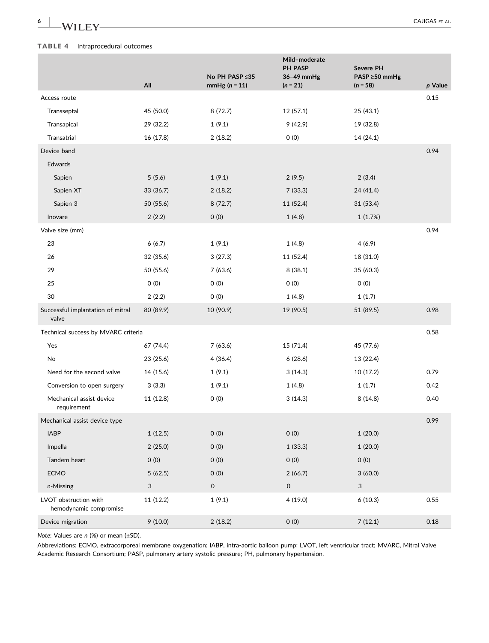6 | **In alternative CAJIGAS** ET AL.

#### <span id="page-7-0"></span>TABLE 4 Intraprocedural outcomes

|                                                 | All       | No PH PASP ≤35<br>$mmHg(n = 11)$ | Mild-moderate<br>PH PASP<br>36-49 mmHg<br>$(n = 21)$ | Severe PH<br>PASP ≥50 mmHg<br>$(n = 58)$ | p Value |
|-------------------------------------------------|-----------|----------------------------------|------------------------------------------------------|------------------------------------------|---------|
| Access route                                    |           |                                  |                                                      |                                          | 0.15    |
| Transseptal                                     | 45 (50.0) | 8(72.7)                          | 12 (57.1)                                            | 25(43.1)                                 |         |
| Transapical                                     | 29 (32.2) | 1(9.1)                           | 9(42.9)                                              | 19 (32.8)                                |         |
| Transatrial                                     | 16 (17.8) | 2(18.2)                          | 0(0)                                                 | 14 (24.1)                                |         |
| Device band                                     |           |                                  |                                                      |                                          | 0.94    |
| Edwards                                         |           |                                  |                                                      |                                          |         |
| Sapien                                          | 5(5.6)    | 1(9.1)                           | 2(9.5)                                               | 2(3.4)                                   |         |
| Sapien XT                                       | 33 (36.7) | 2(18.2)                          | 7(33.3)                                              | 24 (41.4)                                |         |
| Sapien 3                                        | 50 (55.6) | 8(72.7)                          | 11 (52.4)                                            | 31 (53.4)                                |         |
| Inovare                                         | 2(2.2)    | 0(0)                             | 1(4.8)                                               | 1(1.7%)                                  |         |
| Valve size (mm)                                 |           |                                  |                                                      |                                          | 0.94    |
| 23                                              | 6(6.7)    | 1(9.1)                           | 1(4.8)                                               | 4(6.9)                                   |         |
| 26                                              | 32 (35.6) | 3(27.3)                          | 11 (52.4)                                            | 18 (31.0)                                |         |
| 29                                              | 50 (55.6) | 7(63.6)                          | 8(38.1)                                              | 35 (60.3)                                |         |
| 25                                              | O(0)      | O(0)                             | 0(0)                                                 | 0(0)                                     |         |
| 30                                              | 2(2.2)    | O(0)                             | 1(4.8)                                               | 1(1.7)                                   |         |
| Successful implantation of mitral<br>valve      | 80 (89.9) | 10 (90.9)                        | 19 (90.5)                                            | 51 (89.5)                                | 0.98    |
| Technical success by MVARC criteria             |           |                                  |                                                      |                                          | 0.58    |
| Yes                                             | 67 (74.4) | 7(63.6)                          | 15 (71.4)                                            | 45 (77.6)                                |         |
| No                                              | 23 (25.6) | 4(36.4)                          | 6(28.6)                                              | 13 (22.4)                                |         |
| Need for the second valve                       | 14 (15.6) | 1(9.1)                           | 3(14.3)                                              | 10 (17.2)                                | 0.79    |
| Conversion to open surgery                      | 3(3.3)    | 1(9.1)                           | 1(4.8)                                               | 1(1.7)                                   | 0.42    |
| Mechanical assist device<br>requirement         | 11 (12.8) | 0(0)                             | 3(14.3)                                              | 8(14.8)                                  | 0.40    |
| Mechanical assist device type                   |           |                                  |                                                      |                                          | 0.99    |
| <b>IABP</b>                                     | 1(12.5)   | 0(0)                             | 0(0)                                                 | 1(20.0)                                  |         |
| Impella                                         | 2(25.0)   | 0(0)                             | 1(33.3)                                              | 1(20.0)                                  |         |
| Tandem heart                                    | 0(0)      | 0(0)                             | 0(0)                                                 | 0(0)                                     |         |
| <b>ECMO</b>                                     | 5(62.5)   | 0(0)                             | 2(66.7)                                              | 3(60.0)                                  |         |
| n-Missing                                       | 3         | 0                                | $\mathsf{O}\xspace$                                  | 3                                        |         |
| LVOT obstruction with<br>hemodynamic compromise | 11 (12.2) | 1(9.1)                           | 4(19.0)                                              | 6(10.3)                                  | 0.55    |
| Device migration                                | 9(10.0)   | 2(18.2)                          | 0(0)                                                 | 7(12.1)                                  | 0.18    |

Note: Values are n (%) or mean (±SD).

Abbreviations: ECMO, extracorporeal membrane oxygenation; IABP, intra‐aortic balloon pump; LVOT, left ventricular tract; MVARC, Mitral Valve Academic Research Consortium; PASP, pulmonary artery systolic pressure; PH, pulmonary hypertension.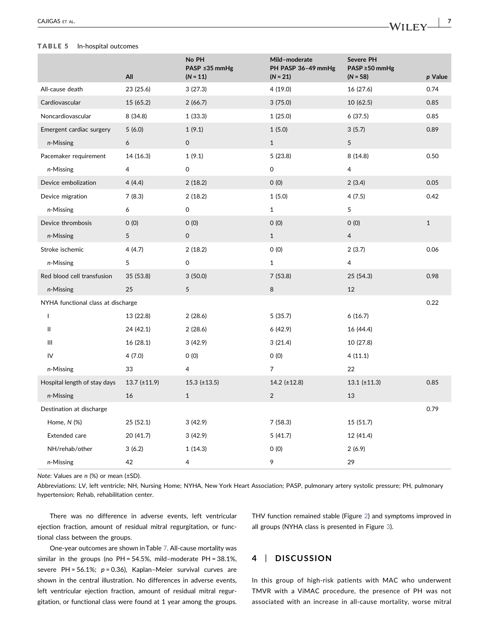#### <span id="page-8-0"></span>TABLE 5 In‐hospital outcomes

|                                    | All                 | No PH<br>PASP ≤35 mmHg<br>$(N = 11)$ | Mild-moderate<br>PH PASP 36-49 mmHg<br>$(N = 21)$ | Severe PH<br>PASP ≥50 mmHg<br>$(N = 58)$ | p Value      |
|------------------------------------|---------------------|--------------------------------------|---------------------------------------------------|------------------------------------------|--------------|
| All-cause death                    | 23 (25.6)           | 3(27.3)                              | 4(19.0)                                           | 16 (27.6)                                | 0.74         |
| Cardiovascular                     | 15 (65.2)           | 2(66.7)                              | 3(75.0)                                           | 10 (62.5)                                | 0.85         |
| Noncardiovascular                  | 8(34.8)             | 1(33.3)                              | 1(25.0)                                           | 6(37.5)                                  | 0.85         |
| Emergent cardiac surgery           | 5(6.0)              | 1(9.1)                               | 1(5.0)                                            | 3(5.7)                                   | 0.89         |
| n-Missing                          | 6                   | 0                                    | $\mathbf{1}$                                      | 5                                        |              |
| Pacemaker requirement              | 14 (16.3)           | 1(9.1)                               | 5(23.8)                                           | 8(14.8)                                  | 0.50         |
| n-Missing                          | $\overline{4}$      | 0                                    | 0                                                 | 4                                        |              |
| Device embolization                | 4(4.4)              | 2(18.2)                              | O(0)                                              | 2(3.4)                                   | 0.05         |
| Device migration                   | 7(8.3)              | 2(18.2)                              | 1(5.0)                                            | 4(7.5)                                   | 0.42         |
| n-Missing                          | 6                   | 0                                    | $\mathbf{1}$                                      | 5                                        |              |
| Device thrombosis                  | O(0)                | O(0)                                 | O(0)                                              | 0(0)                                     | $\mathbf{1}$ |
| n-Missing                          | 5                   | 0                                    | $\mathbf{1}$                                      | 4                                        |              |
| Stroke ischemic                    | 4(4.7)              | 2(18.2)                              | O(0)                                              | 2(3.7)                                   | 0.06         |
| n-Missing                          | 5                   | 0                                    | $\mathbf{1}$                                      | 4                                        |              |
| Red blood cell transfusion         | 35 (53.8)           | 3(50.0)                              | 7(53.8)                                           | 25 (54.3)                                | 0.98         |
| n-Missing                          | 25                  | 5                                    | 8                                                 | 12                                       |              |
| NYHA functional class at discharge |                     |                                      |                                                   |                                          | 0.22         |
| $\mathbf{I}$                       | 13 (22.8)           | 2(28.6)                              | 5(35.7)                                           | 6(16.7)                                  |              |
| Ш                                  | 24 (42.1)           | 2(28.6)                              | 6(42.9)                                           | 16 (44.4)                                |              |
| Ш                                  | 16 (28.1)           | 3(42.9)                              | 3(21.4)                                           | 10 (27.8)                                |              |
| IV                                 | 4(7.0)              | O(0)                                 | O(0)                                              | 4(11.1)                                  |              |
| n-Missing                          | 33                  | 4                                    | 7                                                 | 22                                       |              |
| Hospital length of stay days       | $13.7 \ (\pm 11.9)$ | $15.3$ (±13.5)                       | $14.2$ ( $\pm$ 12.8)                              | $13.1 (\pm 11.3)$                        | 0.85         |
| n-Missing                          | 16                  | $\mathbf{1}$                         | $\overline{2}$                                    | 13                                       |              |
| Destination at discharge           |                     |                                      |                                                   |                                          | 0.79         |
| Home, $N$ (%)                      | 25(52.1)            | 3(42.9)                              | 7(58.3)                                           | 15 (51.7)                                |              |
| <b>Extended care</b>               | 20 (41.7)           | 3(42.9)                              | 5(41.7)                                           | 12 (41.4)                                |              |
| NH/rehab/other                     | 3(6.2)              | 1(14.3)                              | 0(0)                                              | 2(6.9)                                   |              |
| n-Missing                          | 42                  | 4                                    | 9                                                 | 29                                       |              |

Note: Values are n (%) or mean (±SD).

Abbreviations: LV, left ventricle; NH, Nursing Home; NYHA, New York Heart Association; PASP, pulmonary artery systolic pressure; PH, pulmonary hypertension; Rehab, rehabilitation center.

There was no difference in adverse events, left ventricular ejection fraction, amount of residual mitral regurgitation, or functional class between the groups.

One-year outcomes are shown in Table [7](#page-10-0). All-cause mortality was similar in the groups (no PH = 54.5%, mild–moderate PH = 38.1%, severe PH =  $56.1\%$ ;  $p = 0.36$ ), Kaplan–Meier survival curves are shown in the central illustration. No differences in adverse events, left ventricular ejection fraction, amount of residual mitral regurgitation, or functional class were found at 1 year among the groups.

THV function remained stable (Figure [2](#page-10-1)) and symptoms improved in all groups (NYHA class is presented in Figure [3](#page-11-0)).

#### 4 | DISCUSSION

In this group of high‐risk patients with MAC who underwent TMVR with a ViMAC procedure, the presence of PH was not associated with an increase in all‐cause mortality, worse mitral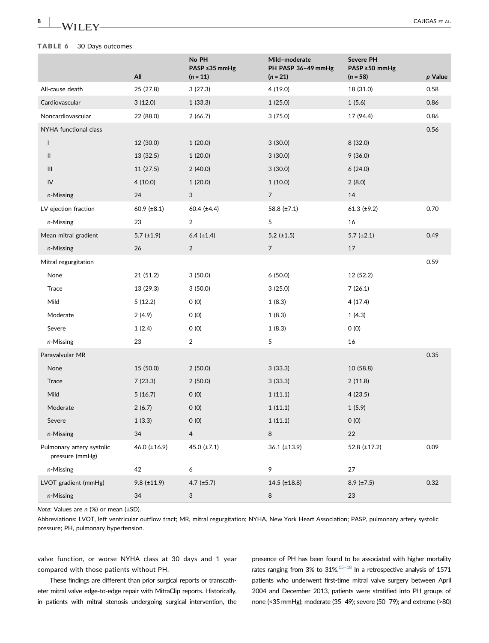#### <span id="page-9-0"></span>TABLE 6 30 Days outcomes

|                                              | All                | No PH<br>PASP ≤35 mmHg<br>$(n = 11)$ | Mild-moderate<br>PH PASP 36-49 mmHg<br>$(n = 21)$ | Severe PH<br>PASP ≥50 mmHg<br>$(n = 58)$ | p Value |
|----------------------------------------------|--------------------|--------------------------------------|---------------------------------------------------|------------------------------------------|---------|
| All-cause death                              | 25 (27.8)          | 3(27.3)                              | 4 (19.0)                                          | 18 (31.0)                                | 0.58    |
| Cardiovascular                               | 3(12.0)            | 1(33.3)                              | 1(25.0)                                           | 1(5.6)                                   | 0.86    |
| Noncardiovascular                            | 22 (88.0)          | 2(66.7)                              | 3(75.0)                                           | 17 (94.4)                                | 0.86    |
| NYHA functional class                        |                    |                                      |                                                   |                                          | 0.56    |
| L                                            | 12 (30.0)          | 1(20.0)                              | 3(30.0)                                           | 8 (32.0)                                 |         |
| Ш                                            | 13 (32.5)          | 1(20.0)                              | 3(30.0)                                           | 9(36.0)                                  |         |
| $\mathop{\rm III}$                           | 11 (27.5)          | 2(40.0)                              | 3(30.0)                                           | 6(24.0)                                  |         |
| IV                                           | 4(10.0)            | 1(20.0)                              | 1(10.0)                                           | 2(8.0)                                   |         |
| n-Missing                                    | 24                 | 3                                    | $\overline{7}$                                    | 14                                       |         |
| LV ejection fraction                         | 60.9 ( $\pm 8.1$ ) | 60.4 $(\pm 4.4)$                     | 58.8 (±7.1)                                       | 61.3 $(\pm 9.2)$                         | 0.70    |
| n-Missing                                    | 23                 | 2                                    | 5                                                 | 16                                       |         |
| Mean mitral gradient                         | 5.7 $(\pm 1.9)$    | $6.4$ ( $\pm 1.4$ )                  | 5.2 $(\pm 1.5)$                                   | $5.7$ ( $\pm 2.1$ )                      | 0.49    |
| n-Missing                                    | 26                 | $\overline{c}$                       | $\overline{7}$                                    | 17                                       |         |
| Mitral regurgitation                         |                    |                                      |                                                   |                                          | 0.59    |
| None                                         | 21 (51.2)          | 3(50.0)                              | 6(50.0)                                           | 12 (52.2)                                |         |
| Trace                                        | 13 (29.3)          | 3(50.0)                              | 3(25.0)                                           | 7(26.1)                                  |         |
| Mild                                         | 5(12.2)            | O(0)                                 | 1(8.3)                                            | 4(17.4)                                  |         |
| Moderate                                     | 2(4.9)             | O(0)                                 | 1(8.3)                                            | 1(4.3)                                   |         |
| Severe                                       | 1(2.4)             | 0(0)                                 | 1(8.3)                                            | 0(0)                                     |         |
| n-Missing                                    | 23                 | $\overline{2}$                       | 5                                                 | 16                                       |         |
| Paravalvular MR                              |                    |                                      |                                                   |                                          | 0.35    |
| None                                         | 15 (50.0)          | 2(50.0)                              | 3(33.3)                                           | 10 (58.8)                                |         |
| Trace                                        | 7(23.3)            | 2(50.0)                              | 3(33.3)                                           | 2(11.8)                                  |         |
| Mild                                         | 5(16.7)            | 0(0)                                 | 1(11.1)                                           | 4(23.5)                                  |         |
| Moderate                                     | 2(6.7)             | 0(0)                                 | 1(11.1)                                           | 1(5.9)                                   |         |
| Severe                                       | 1(3.3)             | $0\ (0)$                             | 1(11.1)                                           | $0\ (0)$                                 |         |
| n-Missing                                    | 34                 | $\overline{4}$                       | 8                                                 | 22                                       |         |
| Pulmonary artery systolic<br>pressure (mmHg) | 46.0 $(\pm 16.9)$  | 45.0 $(\pm 7.1)$                     | $36.1 (\pm 13.9)$                                 | 52.8 $(\pm 17.2)$                        | 0.09    |
| n-Missing                                    | 42                 | 6                                    | 9                                                 | 27                                       |         |
| LVOT gradient (mmHg)                         | $9.8 (\pm 11.9)$   | 4.7 $(\pm 5.7)$                      | $14.5$ (±18.8)                                    | $8.9$ (±7.5)                             | 0.32    |
| n-Missing                                    | 34                 | 3                                    | 8                                                 | 23                                       |         |

Note: Values are n (%) or mean (±SD).

Abbreviations: LVOT, left ventricular outflow tract; MR, mitral regurgitation; NYHA, New York Heart Association; PASP, pulmonary artery systolic pressure; PH, pulmonary hypertension.

valve function, or worse NYHA class at 30 days and 1 year compared with those patients without PH.

These findings are different than prior surgical reports or transcatheter mitral valve edge-to-edge repair with MitraClip reports. Historically, in patients with mitral stenosis undergoing surgical intervention, the presence of PH has been found to be associated with higher mortality rates ranging from 3% to 31%.<sup>15–18</sup> In a retrospective analysis of 1571 patients who underwent first-time mitral valve surgery between April 2004 and December 2013, patients were stratified into PH groups of none (<35 mmHg); moderate (35–49); severe (50–79); and extreme (>80)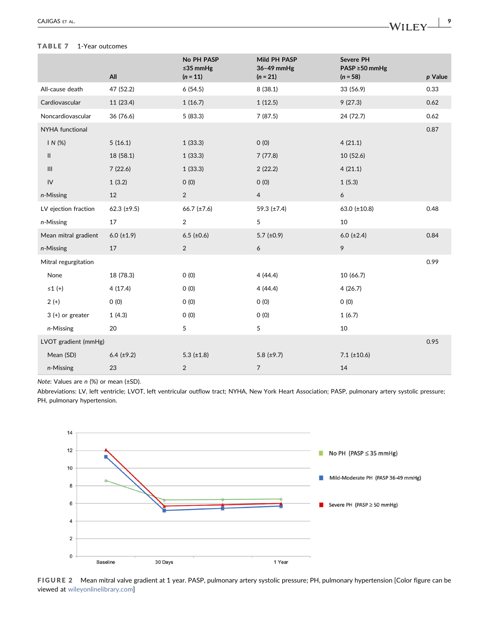#### <span id="page-10-0"></span>TABLE 7 1-Year outcomes

|                      | All              | No PH PASP<br>≤35 $mmHg$<br>$(n = 11)$ | Mild PH PASP<br>36-49 mmHg<br>$(n = 21)$ | Severe PH<br>PASP ≥50 mmHg<br>$(n = 58)$ | p Value |
|----------------------|------------------|----------------------------------------|------------------------------------------|------------------------------------------|---------|
| All-cause death      | 47 (52.2)        | 6(54.5)                                | 8(38.1)                                  | 33 (56.9)                                | 0.33    |
| Cardiovascular       | 11 (23.4)        | 1(16.7)                                | 1(12.5)                                  | 9(27.3)                                  | 0.62    |
| Noncardiovascular    | 36 (76.6)        | 5(83.3)                                | 7(87.5)                                  | 24 (72.7)                                | 0.62    |
| NYHA functional      |                  |                                        |                                          |                                          | 0.87    |
| IN(%)                | 5(16.1)          | 1(33.3)                                | O(0)                                     | 4(21.1)                                  |         |
| Ш                    | 18 (58.1)        | 1(33.3)                                | 7(77.8)                                  | 10(52.6)                                 |         |
| $\mathop{\rm III}$   | 7(22.6)          | 1(33.3)                                | 2(22.2)                                  | 4(21.1)                                  |         |
| ${\sf IV}$           | 1(3.2)           | 0(0)                                   | 0(0)                                     | 1(5.3)                                   |         |
| n-Missing            | 12               | $\overline{2}$                         | $\overline{4}$                           | 6                                        |         |
| LV ejection fraction | 62.3 $(\pm 9.5)$ | $66.7 (\pm 7.6)$                       | 59.3 $(\pm 7.4)$                         | $63.0$ (±10.8)                           | 0.48    |
| n-Missing            | 17               | $\overline{2}$                         | 5                                        | 10                                       |         |
| Mean mitral gradient | $6.0 (=1.9)$     | $6.5$ (±0.6)                           | 5.7 $(\pm 0.9)$                          | $6.0$ ( $\pm 2.4$ )                      | 0.84    |
| n-Missing            | 17               | $\overline{2}$                         | 6                                        | 9                                        |         |
| Mitral regurgitation |                  |                                        |                                          |                                          | 0.99    |
| None                 | 18 (78.3)        | 0(0)                                   | 4(44.4)                                  | 10 (66.7)                                |         |
| $\leq 1$ (+)         | 4(17.4)          | O(0)                                   | 4(44.4)                                  | 4(26.7)                                  |         |
| $2 (+)$              | 0(0)             | 0(0)                                   | O(0)                                     | O(0)                                     |         |
| $3 (+)$ or greater   | 1(4.3)           | O(0)                                   | 0(0)                                     | 1(6.7)                                   |         |
| n-Missing            | 20               | 5                                      | 5                                        | 10                                       |         |
| LVOT gradient (mmHg) |                  |                                        |                                          |                                          | 0.95    |
| Mean (SD)            | $6.4 (\pm 9.2)$  | 5.3 $(\pm 1.8)$                        | 5.8 $(\pm 9.7)$                          | $7.1$ ( $\pm$ 10.6)                      |         |
| n-Missing            | 23               | $\overline{c}$                         | $\overline{7}$                           | 14                                       |         |

Note: Values are n (%) or mean (±SD).

Abbreviations: LV, left ventricle; LVOT, left ventricular outflow tract; NYHA, New York Heart Association; PASP, pulmonary artery systolic pressure; PH, pulmonary hypertension.

<span id="page-10-1"></span>

FIGURE 2 Mean mitral valve gradient at 1 year. PASP, pulmonary artery systolic pressure; PH, pulmonary hypertension [Color figure can be viewed at [wileyonlinelibrary.com](http://wileyonlinelibrary.com)]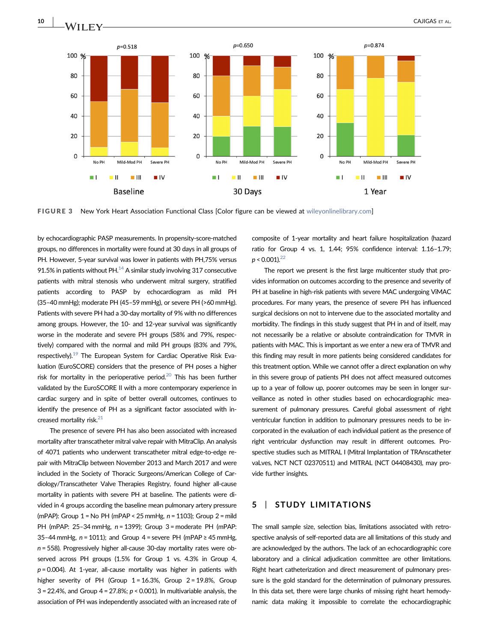<span id="page-11-0"></span>

FIGURE 3 New York Heart Association Functional Class [Color figure can be viewed at [wileyonlinelibrary.com\]](http://wileyonlinelibrary.com)

by echocardiographic PASP measurements. In propensity‐score‐matched groups, no differences in mortality were found at 30 days in all groups of PH. However, 5‐year survival was lower in patients with PH,75% versus 91.5% in patients without PH. $^{14}$  A similar study involving 317 consecutive patients with mitral stenosis who underwent mitral surgery, stratified patients according to PASP by echocardiogram as mild PH (35–40 mmHg); moderate PH (45–59 mmHg), or severe PH (>60 mmHg). Patients with severe PH had a 30‐day mortality of 9% with no differences among groups. However, the 10‐ and 12‐year survival was significantly worse in the moderate and severe PH groups (58% and 79%, respectively) compared with the normal and mild PH groups (83% and 79%, respectively).<sup>[19](#page-13-3)</sup> The European System for Cardiac Operative Risk Evaluation (EuroSCORE) considers that the presence of PH poses a higher risk for mortality in the perioperative period.<sup>20</sup> This has been further validated by the EuroSCORE II with a more contemporary experience in cardiac surgery and in spite of better overall outcomes, continues to identify the presence of PH as a significant factor associated with increased mortality risk.<sup>21</sup>

The presence of severe PH has also been associated with increased mortality after transcatheter mitral valve repair with MitraClip. An analysis of 4071 patients who underwent transcatheter mitral edge‐to‐edge repair with MitraClip between November 2013 and March 2017 and were included in the Society of Thoracic Surgeons/American College of Cardiology/Transcatheter Valve Therapies Registry, found higher all‐cause mortality in patients with severe PH at baseline. The patients were divided in 4 groups according the baseline mean pulmonary artery pressure (mPAP): Group  $1 = No PH$  (mPAP < 25 mmHg,  $n = 1103$ ); Group  $2 = mid$ PH (mPAP: 25–34 mmHg, n = 1399); Group 3 = moderate PH (mPAP: 35–44 mmHg,  $n = 1011$ ); and Group 4 = severe PH (mPAP  $\geq 45$  mmHg, n = 558). Progressively higher all‐cause 30‐day mortality rates were observed across PH groups (1.5% for Group 1 vs. 4.3% in Group 4,  $p = 0.004$ ). At 1-year, all-cause mortality was higher in patients with higher severity of PH (Group  $1 = 16.3\%$ , Group  $2 = 19.8\%$ , Group  $3 = 22.4\%$ , and Group  $4 = 27.8\%$ ;  $p < 0.001$ ). In multivariable analysis, the association of PH was independently associated with an increased rate of

composite of 1‐year mortality and heart failure hospitalization (hazard ratio for Group 4 vs. 1, 1.44; 95% confidence interval: 1.16–1.79;  $p < 0.001$ ).<sup>22</sup>

The report we present is the first large multicenter study that provides information on outcomes according to the presence and severity of PH at baseline in high-risk patients with severe MAC undergoing ViMAC procedures. For many years, the presence of severe PH has influenced surgical decisions on not to intervene due to the associated mortality and morbidity. The findings in this study suggest that PH in and of itself, may not necessarily be a relative or absolute contraindication for TMVR in patients with MAC. This is important as we enter a new era of TMVR and this finding may result in more patients being considered candidates for this treatment option. While we cannot offer a direct explanation on why in this severe group of patients PH does not affect measured outcomes up to a year of follow up, poorer outcomes may be seen in longer surveillance as noted in other studies based on echocardiographic measurement of pulmonary pressures. Careful global assessment of right ventricular function in addition to pulmonary pressures needs to be incorporated in the evaluation of each individual patient as the presence of right ventricular dysfunction may result in different outcomes. Prospective studies such as MITRAL I (Mitral Implantation of TRAnscatheter vaLves, NCT NCT 02370511) and MITRAL (NCT 04408430), may provide further insights.

#### 5 | STUDY LIMITATIONS

The small sample size, selection bias, limitations associated with retrospective analysis of self‐reported data are all limitations of this study and are acknowledged by the authors. The lack of an echocardiographic core laboratory and a clinical adjudication committee are other limitations. Right heart catheterization and direct measurement of pulmonary pressure is the gold standard for the determination of pulmonary pressures. In this data set, there were large chunks of missing right heart hemodynamic data making it impossible to correlate the echocardiographic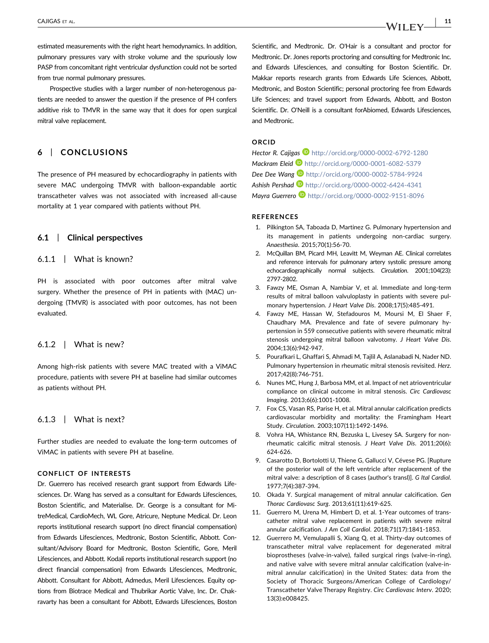estimated measurements with the right heart hemodynamics. In addition, pulmonary pressures vary with stroke volume and the spuriously low PASP from concomitant right ventricular dysfunction could not be sorted from true normal pulmonary pressures.

Prospective studies with a larger number of non‐heterogenous patients are needed to answer the question if the presence of PH confers additive risk to TMVR in the same way that it does for open surgical mitral valve replacement.

#### 6 | CONCLUSIONS

The presence of PH measured by echocardiography in patients with severe MAC undergoing TMVR with balloon-expandable aortic transcatheter valves was not associated with increased all‐cause mortality at 1 year compared with patients without PH.

#### 6.1 | Clinical perspectives

#### 6.1.1 | What is known?

PH is associated with poor outcomes after mitral valve surgery. Whether the presence of PH in patients with (MAC) undergoing (TMVR) is associated with poor outcomes, has not been evaluated.

#### 6.1.2 | What is new?

Among high‐risk patients with severe MAC treated with a ViMAC procedure, patients with severe PH at baseline had similar outcomes as patients without PH.

#### 6.1.3 | What is next?

Further studies are needed to evaluate the long-term outcomes of ViMAC in patients with severe PH at baseline.

#### CONFLICT OF INTERESTS

Dr. Guerrero has received research grant support from Edwards Lifesciences. Dr. Wang has served as a consultant for Edwards Lifesciences, Boston Scientific, and Materialise. Dr. George is a consultant for MitreMedical, CardioMech, WL Gore, Atricure, Neptune Medical. Dr. Leon reports institutional research support (no direct financial compensation) from Edwards Lifesciences, Medtronic, Boston Scientific, Abbott. Consultant/Advisory Board for Medtronic, Boston Scientific, Gore, Meril Lifesciences, and Abbott. Kodali reports institutional research support (no direct financial compensation) from Edwards Lifesciences, Medtronic, Abbott. Consultant for Abbott, Admedus, Meril Lifesciences. Equity options from Biotrace Medical and Thubrikar Aortic Valve, Inc. Dr. Chakravarty has been a consultant for Abbott, Edwards Lifesciences, Boston

Scientific, and Medtronic. Dr. O'Hair is a consultant and proctor for Medtronic. Dr. Jones reports proctoring and consulting for Medtronic Inc. and Edwards Lifesciences, and consulting for Boston Scientific. Dr. Makkar reports research grants from Edwards Life Sciences, Abbott, Medtronic, and Boston Scientific; personal proctoring fee from Edwards Life Sciences; and travel support from Edwards, Abbott, and Boston Scientific. Dr. O'Neill is a consultant forAbiomed, Edwards Lifesciences, and Medtronic.

#### ORCID

Hector R. Cajigas **h**ttp://orcid.org/0000-0002-6792-1280 Mackram Eleid D <http://orcid.org/0000-0001-6082-5379> Dee Dee Wang <sup>1</sup> <http://orcid.org/0000-0002-5784-9924> Ashish Pershad **b** <http://orcid.org/0000-0002-6424-4341> Mayra Guerrero D <http://orcid.org/0000-0002-9151-8096>

#### **REFERENCES**

- <span id="page-12-0"></span>1. Pilkington SA, Taboada D, Martinez G. Pulmonary hypertension and its management in patients undergoing non‐cardiac surgery. Anaesthesia. 2015;70(1):56‐70.
- <span id="page-12-6"></span>2. McQuillan BM, Picard MH, Leavitt M, Weyman AE. Clinical correlates and reference intervals for pulmonary artery systolic pressure among echocardiographically normal subjects. Circulation. 2001;104(23): 2797‐2802.
- <span id="page-12-1"></span>3. Fawzy ME, Osman A, Nambiar V, et al. Immediate and long‐term results of mitral balloon valvuloplasty in patients with severe pulmonary hypertension. J Heart Valve Dis. 2008;17(5):485‐491.
- 4. Fawzy ME, Hassan W, Stefadouros M, Moursi M, El Shaer F, Chaudhary MA. Prevalence and fate of severe pulmonary hypertension in 559 consecutive patients with severe rheumatic mitral stenosis undergoing mitral balloon valvotomy. J Heart Valve Dis. 2004;13(6):942‐947.
- 5. Pourafkari L, Ghaffari S, Ahmadi M, Tajlil A, Aslanabadi N, Nader ND. Pulmonary hypertension in rheumatic mitral stenosis revisited. Herz. 2017;42(8):746‐751.
- <span id="page-12-2"></span>6. Nunes MC, Hung J, Barbosa MM, et al. Impact of net atrioventricular compliance on clinical outcome in mitral stenosis. Circ Cardiovasc Imaging. 2013;6(6):1001‐1008.
- <span id="page-12-3"></span>7. Fox CS, Vasan RS, Parise H, et al. Mitral annular calcification predicts cardiovascular morbidity and mortality: the Framingham Heart Study. Circulation. 2003;107(11):1492‐1496.
- <span id="page-12-4"></span>8. Vohra HA, Whistance RN, Bezuska L, Livesey SA. Surgery for non‐ rheumatic calcific mitral stenosis. J Heart Valve Dis. 2011;20(6): 624‐626.
- 9. Casarotto D, Bortolotti U, Thiene G, Gallucci V, Cévese PG. [Rupture of the posterior wall of the left ventricle after replacement of the mitral valve: a description of 8 cases (author's transl)]. G Ital Cardiol. 1977;7(4):387‐394.
- 10. Okada Y. Surgical management of mitral annular calcification. Gen Thorac Cardiovasc Surg. 2013;61(11):619‐625.
- <span id="page-12-5"></span>11. Guerrero M, Urena M, Himbert D, et al. 1‐Year outcomes of transcatheter mitral valve replacement in patients with severe mitral annular calcification. J Am Coll Cardiol. 2018;71(17):1841‐1853.
- 12. Guerrero M, Vemulapalli S, Xiang Q, et al. Thirty‐day outcomes of transcatheter mitral valve replacement for degenerated mitral bioprostheses (valve‐in‐valve), failed surgical rings (valve‐in‐ring), and native valve with severe mitral annular calcification (valve‐in‐ mitral annular calcification) in the United States: data from the Society of Thoracic Surgeons/American College of Cardiology/ Transcatheter Valve Therapy Registry. Circ Cardiovasc Interv. 2020; 13(3):e008425.